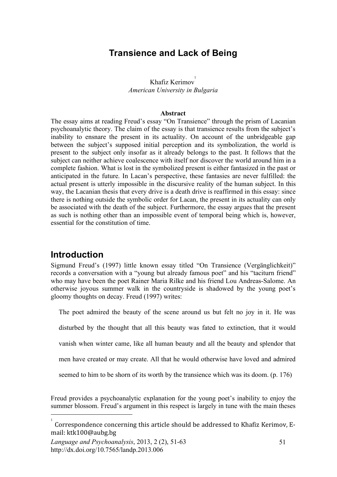### **Transience and Lack of Being**

#### Khafiz Kerimov *American University in Bulgaria*

#### **Abstract**

The essay aims at reading Freud's essay "On Transience" through the prism of Lacanian psychoanalytic theory. The claim of the essay is that transience results from the subject's inability to ensnare the present in its actuality. On account of the unbridgeable gap between the subject's supposed initial perception and its symbolization, the world is present to the subject only insofar as it already belongs to the past. It follows that the subject can neither achieve coalescence with itself nor discover the world around him in a complete fashion. What is lost in the symbolized present is either fantasized in the past or anticipated in the future. In Lacan's perspective, these fantasies are never fulfilled: the actual present is utterly impossible in the discursive reality of the human subject. In this way, the Lacanian thesis that every drive is a death drive is reaffirmed in this essay: since there is nothing outside the symbolic order for Lacan, the present in its actuality can only be associated with the death of the subject. Furthermore, the essay argues that the present as such is nothing other than an impossible event of temporal being which is, however, essential for the constitution of time.

### **Introduction**

Sigmund Freud's (1997) little known essay titled "On Transience (Vergänglichkeit)" records a conversation with a "young but already famous poet" and his "taciturn friend" who may have been the poet Rainer Maria Rilke and his friend Lou Andreas-Salome. An otherwise joyous summer walk in the countryside is shadowed by the young poet's gloomy thoughts on decay. Freud (1997) writes:

The poet admired the beauty of the scene around us but felt no joy in it. He was

disturbed by the thought that all this beauty was fated to extinction, that it would

vanish when winter came, like all human beauty and all the beauty and splendor that

men have created or may create. All that he would otherwise have loved and admired

seemed to him to be shorn of its worth by the transience which was its doom. (p. 176)

Freud provides a psychoanalytic explanation for the young poet's inability to enjoy the summer blossom. Freud's argument in this respect is largely in tune with the main theses

 $\frac{1}{1}$ Correspondence
concerning
this
article
should
be
addressed
to
Khafiz
Kerimov,
E‐ mail:
ktk100@aubg.bg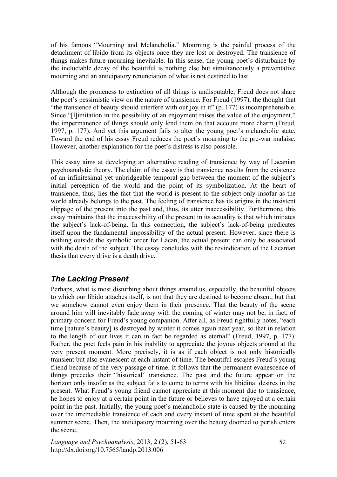of his famous "Mourning and Melancholia." Mourning is the painful process of the detachment of libido from its objects once they are lost or destroyed. The transience of things makes future mourning inevitable. In this sense, the young poet's disturbance by the ineluctable decay of the beautiful is nothing else but simultaneously a preventative mourning and an anticipatory renunciation of what is not destined to last.

Although the proneness to extinction of all things is undisputable, Freud does not share the poet's pessimistic view on the nature of transience. For Freud (1997), the thought that "the transience of beauty should interfere with our joy in it" (p. 177) is incomprehensible. Since "[l]imitation in the possibility of an enjoyment raises the value of the enjoyment," the impermanence of things should only lend them on that account more charm (Freud, 1997, p. 177). And yet this argument fails to alter the young poet's melancholic state. Toward the end of his essay Freud reduces the poet's mourning to the pre-war malaise. However, another explanation for the poet's distress is also possible.

This essay aims at developing an alternative reading of transience by way of Lacanian psychoanalytic theory. The claim of the essay is that transience results from the existence of an infinitesimal yet unbridgeable temporal gap between the moment of the subject's initial perception of the world and the point of its symbolization. At the heart of transience, thus, lies the fact that the world is present to the subject only insofar as the world already belongs to the past. The feeling of transience has its origins in the insistent slippage of the present into the past and, thus, its utter inaccessibility. Furthermore, this essay maintains that the inaccessibility of the present in its actuality is that which initiates the subject's lack-of-being. In this connection, the subject's lack-of-being predicates itself upon the fundamental impossibility of the actual present. However, since there is nothing outside the symbolic order for Lacan, the actual present can only be associated with the death of the subject. The essay concludes with the revindication of the Lacanian thesis that every drive is a death drive.

### *The Lacking Present*

Perhaps, what is most disturbing about things around us, especially, the beautiful objects to which our libido attaches itself, is not that they are destined to become absent, but that we somehow cannot even enjoy them in their presence. That the beauty of the scene around him will inevitably fade away with the coming of winter may not be, in fact, of primary concern for Freud's young companion. After all, as Freud rightfully notes, "each time [nature's beauty] is destroyed by winter it comes again next year, so that in relation to the length of our lives it can in fact be regarded as eternal" (Freud, 1997, p. 177). Rather, the poet feels pain in his inability to appreciate the joyous objects around at the very present moment. More precisely, it is as if each object is not only historically transient but also evanescent at each instant of time. The beautiful escapes Freud's young friend because of the very passage of time. It follows that the permanent evanescence of things precedes their "historical" transience. The past and the future appear on the horizon only insofar as the subject fails to come to terms with his libidinal desires in the present. What Freud's young friend cannot appreciate at this moment due to transience, he hopes to enjoy at a certain point in the future or believes to have enjoyed at a certain point in the past. Initially, the young poet's melancholic state is caused by the mourning over the irremediable transience of each and every instant of time spent at the beautiful summer scene. Then, the anticipatory mourning over the beauty doomed to perish enters the scene.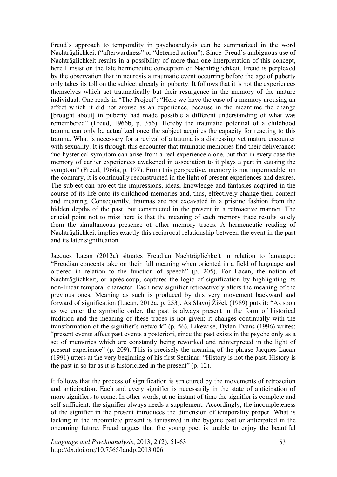Freud's approach to temporality in psychoanalysis can be summarized in the word Nachträglichkeit ("afterwardness" or "deferred action"). Since Freud's ambiguous use of Nachträglichkeit results in a possibility of more than one interpretation of this concept, here I insist on the late hermeneutic conception of Nachträglichkeit. Freud is perplexed by the observation that in neurosis a traumatic event occurring before the age of puberty only takes its toll on the subject already in puberty. It follows that it is not the experiences themselves which act traumatically but their resurgence in the memory of the mature individual. One reads in "The Project": "Here we have the case of a memory arousing an affect which it did not arouse as an experience, because in the meantime the change [brought about] in puberty had made possible a different understanding of what was remembered" (Freud, 1966b, p. 356). Hereby the traumatic potential of a childhood trauma can only be actualized once the subject acquires the capacity for reacting to this trauma. What is necessary for a revival of a trauma is a distressing yet mature encounter with sexuality. It is through this encounter that traumatic memories find their deliverance: "no hysterical symptom can arise from a real experience alone, but that in every case the memory of earlier experiences awakened in association to it plays a part in causing the symptom" (Freud, 1966a, p. 197). From this perspective, memory is not impermeable, on the contrary, it is continually reconstructed in the light of present experiences and desires. The subject can project the impressions, ideas, knowledge and fantasies acquired in the course of its life onto its childhood memories and, thus, effectively change their content and meaning. Consequently, traumas are not excavated in a pristine fashion from the hidden depths of the past, but constructed in the present in a retroactive manner. The crucial point not to miss here is that the meaning of each memory trace results solely from the simultaneous presence of other memory traces. A hermeneutic reading of Nachträglichkeit implies exactly this reciprocal relationship between the event in the past and its later signification.

Jacques Lacan (2012a) situates Freudian Nachträglichkeit in relation to language: "Freudian concepts take on their full meaning when oriented in a field of language and ordered in relation to the function of speech" (p. 205). For Lacan, the notion of Nachträglichkeit, or après-coup, captures the logic of signification by highlighting its non-linear temporal character. Each new signifier retroactively alters the meaning of the previous ones. Meaning as such is produced by this very movement backward and forward of signification (Lacan, 2012a, p. 253). As Slavoj Žižek (1989) puts it: "As soon as we enter the symbolic order, the past is always present in the form of historical tradition and the meaning of these traces is not given; it changes continually with the transformation of the signifier's network" (p. 56). Likewise, Dylan Evans (1996) writes: "present events affect past events a posteriori, since the past exists in the psyche only as a set of memories which are constantly being reworked and reinterpreted in the light of present experience" (p. 209). This is precisely the meaning of the phrase Jacques Lacan (1991) utters at the very beginning of his first Seminar: "History is not the past. History is the past in so far as it is historicized in the present" (p. 12).

It follows that the process of signification is structured by the movements of retroaction and anticipation. Each and every signifier is necessarily in the state of anticipation of more signifiers to come. In other words, at no instant of time the signifier is complete and self-sufficient: the signifier always needs a supplement. Accordingly, the incompleteness of the signifier in the present introduces the dimension of temporality proper. What is lacking in the incomplete present is fantasized in the bygone past or anticipated in the oncoming future. Freud argues that the young poet is unable to enjoy the beautiful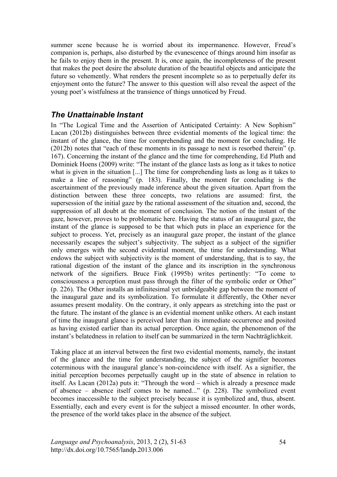summer scene because he is worried about its impermanence. However, Freud's companion is, perhaps, also disturbed by the evanescence of things around him insofar as he fails to enjoy them in the present. It is, once again, the incompleteness of the present that makes the poet desire the absolute duration of the beautiful objects and anticipate the future so vehemently. What renders the present incomplete so as to perpetually defer its enjoyment onto the future? The answer to this question will also reveal the aspect of the young poet's wistfulness at the transience of things unnoticed by Freud.

#### *The Unattainable Instant*

In "The Logical Time and the Assertion of Anticipated Certainty: A New Sophism" Lacan (2012b) distinguishes between three evidential moments of the logical time: the instant of the glance, the time for comprehending and the moment for concluding. He (2012b) notes that "each of these moments in its passage to next is resorbed therein" (p. 167). Concerning the instant of the glance and the time for comprehending, Ed Pluth and Dominiek Hoens (2009) write: "The instant of the glance lasts as long as it takes to notice what is given in the situation [...] The time for comprehending lasts as long as it takes to make a line of reasoning" (p. 183). Finally, the moment for concluding is the ascertainment of the previously made inference about the given situation. Apart from the distinction between these three concepts, two relations are assumed: first, the supersession of the initial gaze by the rational assessment of the situation and, second, the suppression of all doubt at the moment of conclusion. The notion of the instant of the gaze, however, proves to be problematic here. Having the status of an inaugural gaze, the instant of the glance is supposed to be that which puts in place an experience for the subject to process. Yet, precisely as an inaugural gaze proper, the instant of the glance necessarily escapes the subject's subjectivity. The subject as a subject of the signifier only emerges with the second evidential moment, the time for understanding. What endows the subject with subjectivity is the moment of understanding, that is to say, the rational digestion of the instant of the glance and its inscription in the synchronous network of the signifiers. Bruce Fink (1995b) writes pertinently: "To come to consciousness a perception must pass through the filter of the symbolic order or Other" (p. 226). The Other installs an infinitesimal yet unbridgeable gap between the moment of the inaugural gaze and its symbolization. To formulate it differently, the Other never assumes present modality. On the contrary, it only appears as stretching into the past or the future. The instant of the glance is an evidential moment unlike others. At each instant of time the inaugural glance is perceived later than its immediate occurrence and posited as having existed earlier than its actual perception. Once again, the phenomenon of the instant's belatedness in relation to itself can be summarized in the term Nachträglichkeit.

Taking place at an interval between the first two evidential moments, namely, the instant of the glance and the time for understanding, the subject of the signifier becomes coterminous with the inaugural glance's non-coincidence with itself. As a signifier, the initial perception becomes perpetually caught up in the state of absence in relation to itself. As Lacan (2012a) puts it: "Through the word – which is already a presence made of absence – absence itself comes to be named..." (p. 228). The symbolized event becomes inaccessible to the subject precisely because it is symbolized and, thus, absent. Essentially, each and every event is for the subject a missed encounter. In other words, the presence of the world takes place in the absence of the subject.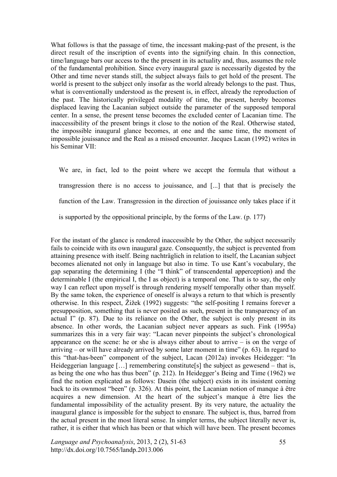What follows is that the passage of time, the incessant making-past of the present, is the direct result of the inscription of events into the signifying chain. In this connection, time/language bars our access to the the present in its actuality and, thus, assumes the role of the fundamental prohibition. Since every inaugural gaze is necessarily digested by the Other and time never stands still, the subject always fails to get hold of the present. The world is present to the subject only insofar as the world already belongs to the past. Thus, what is conventionally understood as the present is, in effect, already the reproduction of the past. The historically privileged modality of time, the present, hereby becomes displaced leaving the Lacanian subject outside the parameter of the supposed temporal center. In a sense, the present tense becomes the excluded center of Lacanian time. The inaccessibility of the present brings it close to the notion of the Real. Otherwise stated, the impossible inaugural glance becomes, at one and the same time, the moment of impossible jouissance and the Real as a missed encounter. Jacques Lacan (1992) writes in his Seminar VII:

We are, in fact, led to the point where we accept the formula that without a transgression there is no access to jouissance, and [...] that that is precisely the function of the Law. Transgression in the direction of jouissance only takes place if it is supported by the oppositional principle, by the forms of the Law. (p. 177)

For the instant of the glance is rendered inaccessible by the Other, the subject necessarily fails to coincide with its own inaugural gaze. Consequently, the subject is prevented from attaining presence with itself. Being nachträglich in relation to itself, the Lacanian subject becomes alienated not only in language but also in time. To use Kant's vocabulary, the gap separating the determining I (the "I think" of transcendental apperception) and the determinable I (the empirical I, the I as object) is a temporal one. That is to say, the only way I can reflect upon myself is through rendering myself temporally other than myself. By the same token, the experience of oneself is always a return to that which is presently otherwise. In this respect, Žižek (1992) suggests: "the self-positing I remains forever a presupposition, something that is never posited as such, present in the transparency of an actual I" (p. 87). Due to its reliance on the Other, the subject is only present in its absence. In other words, the Lacanian subject never appears as such. Fink (1995a) summarizes this in a very fair way: "Lacan never pinpoints the subject's chronological appearance on the scene: he or she is always either about to arrive – is on the verge of arriving – or will have already arrived by some later moment in time"  $(p. 63)$ . In regard to this "that-has-been" component of the subject, Lacan (2012a) invokes Heidegger: "In Heideggerian language [...] remembering constitute[s] the subject as gewesend – that is, as being the one who has thus been" (p. 212). In Heidegger's Being and Time (1962) we find the notion explicated as follows: Dasein (the subject) exists in its insistent coming back to its ownmost "been" (p. 326). At this point, the Lacanian notion of manque à être acquires a new dimension. At the heart of the subject's manque à être lies the fundamental impossibility of the actuality present. By its very nature, the actuality the inaugural glance is impossible for the subject to ensnare. The subject is, thus, barred from the actual present in the most literal sense. In simpler terms, the subject literally never is, rather, it is either that which has been or that which will have been. The present becomes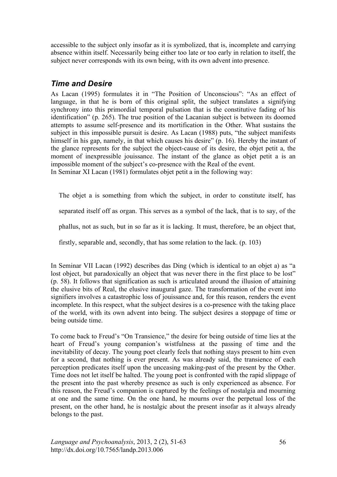accessible to the subject only insofar as it is symbolized, that is, incomplete and carrying absence within itself. Necessarily being either too late or too early in relation to itself, the subject never corresponds with its own being, with its own advent into presence.

### *Time and Desire*

As Lacan (1995) formulates it in "The Position of Unconscious": "As an effect of language, in that he is born of this original split, the subject translates a signifying synchrony into this primordial temporal pulsation that is the constitutive fading of his identification" (p. 265). The true position of the Lacanian subject is between its doomed attempts to assume self-presence and its mortification in the Other. What sustains the subject in this impossible pursuit is desire. As Lacan (1988) puts, "the subject manifests himself in his gap, namely, in that which causes his desire" (p. 16). Hereby the instant of the glance represents for the subject the object-cause of its desire, the objet petit a, the moment of inexpressible jouissance. The instant of the glance as objet petit a is an impossible moment of the subject's co-presence with the Real of the event. In Seminar XI Lacan (1981) formulates objet petit a in the following way:

The objet a is something from which the subject, in order to constitute itself, has

separated itself off as organ. This serves as a symbol of the lack, that is to say, of the

phallus, not as such, but in so far as it is lacking. It must, therefore, be an object that,

firstly, separable and, secondly, that has some relation to the lack. (p. 103)

In Seminar VII Lacan (1992) describes das Ding (which is identical to an objet a) as "a lost object, but paradoxically an object that was never there in the first place to be lost" (p. 58). It follows that signification as such is articulated around the illusion of attaining the elusive bits of Real, the elusive inaugural gaze. The transformation of the event into signifiers involves a catastrophic loss of jouissance and, for this reason, renders the event incomplete. In this respect, what the subject desires is a co-presence with the taking place of the world, with its own advent into being. The subject desires a stoppage of time or being outside time.

To come back to Freud's "On Transience," the desire for being outside of time lies at the heart of Freud's young companion's wistfulness at the passing of time and the inevitability of decay. The young poet clearly feels that nothing stays present to him even for a second, that nothing is ever present. As was already said, the transience of each perception predicates itself upon the unceasing making-past of the present by the Other. Time does not let itself be halted. The young poet is confronted with the rapid slippage of the present into the past whereby presence as such is only experienced as absence. For this reason, the Freud's companion is captured by the feelings of nostalgia and mourning at one and the same time. On the one hand, he mourns over the perpetual loss of the present, on the other hand, he is nostalgic about the present insofar as it always already belongs to the past.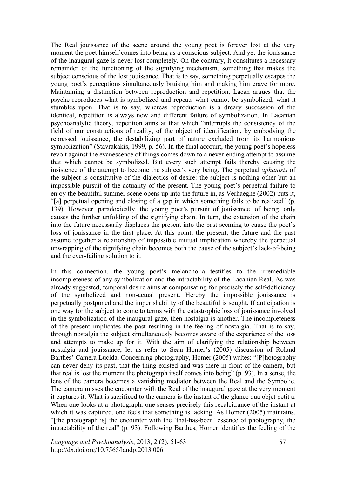The Real jouissance of the scene around the young poet is forever lost at the very moment the poet himself comes into being as a conscious subject. And yet the jouissance of the inaugural gaze is never lost completely. On the contrary, it constitutes a necessary remainder of the functioning of the signifying mechanism, something that makes the subject conscious of the lost jouissance. That is to say, something perpetually escapes the young poet's perceptions simultaneously bruising him and making him crave for more. Maintaining a distinction between reproduction and repetition, Lacan argues that the psyche reproduces what is symbolized and repeats what cannot be symbolized, what it stumbles upon. That is to say, whereas reproduction is a dreary succession of the identical, repetition is always new and different failure of symbolization. In Lacanian psychoanalytic theory, repetition aims at that which "interrupts the consistency of the field of our constructions of reality, of the object of identification, by embodying the repressed jouissance, the destabilizing part of nature excluded from its harmonious symbolization" (Stavrakakis, 1999, p. 56). In the final account, the young poet's hopeless revolt against the evanescence of things comes down to a never-ending attempt to assume that which cannot be symbolized. But every such attempt fails thereby causing the insistence of the attempt to become the subject's very being. The perpetual *aphanisis* of the subject is constitutive of the dialectics of desire: the subject is nothing other but an impossible pursuit of the actuality of the present. The young poet's perpetual failure to enjoy the beautiful summer scene opens up into the future in, as Verhaeghe (2002) puts it, "[a] perpetual opening and closing of a gap in which something fails to be realized" (p. 139). However, paradoxically, the young poet's pursuit of jouissance, of being, only causes the further unfolding of the signifying chain. In turn, the extension of the chain into the future necessarily displaces the present into the past seeming to cause the poet's loss of jouissance in the first place. At this point, the present, the future and the past assume together a relationship of impossible mutual implication whereby the perpetual unwrapping of the signifying chain becomes both the cause of the subject's lack-of-being and the ever-failing solution to it.

In this connection, the young poet's melancholia testifies to the irremediable incompleteness of any symbolization and the intractability of the Lacanian Real. As was already suggested, temporal desire aims at compensating for precisely the self-deficiency of the symbolized and non-actual present. Hereby the impossible jouissance is perpetually postponed and the imperishability of the beautiful is sought. If anticipation is one way for the subject to come to terms with the catastrophic loss of jouissance involved in the symbolization of the inaugural gaze, then nostalgia is another. The incompleteness of the present implicates the past resulting in the feeling of nostalgia. That is to say, through nostalgia the subject simultaneously becomes aware of the experience of the loss and attempts to make up for it. With the aim of clarifying the relationship between nostalgia and jouissance, let us refer to Sean Homer's (2005) discussion of Roland Barthes' Camera Lucida. Concerning photography, Homer (2005) writes: "[P]hotography can never deny its past, that the thing existed and was there in front of the camera, but that real is lost the moment the photograph itself comes into being" (p. 93). In a sense, the lens of the camera becomes a vanishing mediator between the Real and the Symbolic. The camera misses the encounter with the Real of the inaugural gaze at the very moment it captures it. What is sacrificed to the camera is the instant of the glance qua objet petit a. When one looks at a photograph, one senses precisely this recalcitrance of the instant at which it was captured, one feels that something is lacking. As Homer (2005) maintains, "[the photograph is] the encounter with the 'that-has-been' essence of photography, the intractability of the real" (p. 93). Following Barthes, Homer identifies the feeling of the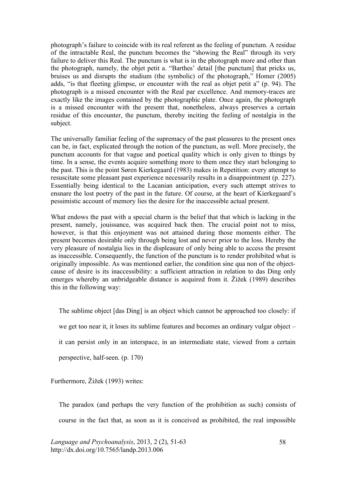photograph's failure to coincide with its real referent as the feeling of punctum. A residue of the intractable Real, the punctum becomes the "showing the Real" through its very failure to deliver this Real. The punctum is what is in the photograph more and other than the photograph, namely, the objet petit a. "Barthes' detail [the punctum] that pricks us, bruises us and disrupts the studium (the symbolic) of the photograph," Homer (2005) adds, "is that fleeting glimpse, or encounter with the real as objet petit a" (p. 94). The photograph is a missed encounter with the Real par excellence. And memory-traces are exactly like the images contained by the photographic plate. Once again, the photograph is a missed encounter with the present that, nonetheless, always preserves a certain residue of this encounter, the punctum, thereby inciting the feeling of nostalgia in the subject.

The universally familiar feeling of the supremacy of the past pleasures to the present ones can be, in fact, explicated through the notion of the punctum, as well. More precisely, the punctum accounts for that vague and poetical quality which is only given to things by time. In a sense, the events acquire something more to them once they start belonging to the past. This is the point Søren Kierkegaard (1983) makes in Repetition: every attempt to resuscitate some pleasant past experience necessarily results in a disappointment (p. 227). Essentially being identical to the Lacanian anticipation, every such attempt strives to ensnare the lost poetry of the past in the future. Of course, at the heart of Kierkegaard's pessimistic account of memory lies the desire for the inaccessible actual present.

What endows the past with a special charm is the belief that that which is lacking in the present, namely, jouissance, was acquired back then. The crucial point not to miss, however, is that this enjoyment was not attained during those moments either. The present becomes desirable only through being lost and never prior to the loss. Hereby the very pleasure of nostalgia lies in the displeasure of only being able to access the present as inaccessible. Consequently, the function of the punctum is to render prohibited what is originally impossible. As was mentioned earlier, the condition sine qua non of the objectcause of desire is its inaccessibility: a sufficient attraction in relation to das Ding only emerges whereby an unbridgeable distance is acquired from it. Žižek (1989) describes this in the following way:

The sublime object [das Ding] is an object which cannot be approached too closely: if

we get too near it, it loses its sublime features and becomes an ordinary vulgar object –

it can persist only in an interspace, in an intermediate state, viewed from a certain

perspective, half-seen. (p. 170)

Furthermore, Žižek (1993) writes:

The paradox (and perhaps the very function of the prohibition as such) consists of course in the fact that, as soon as it is conceived as prohibited, the real impossible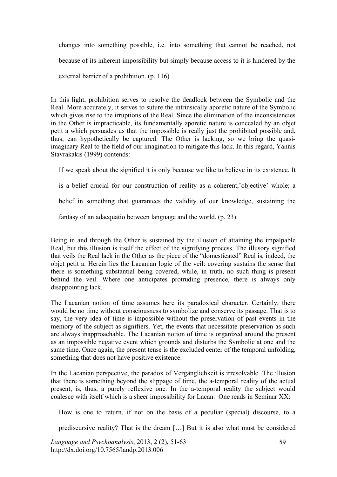changes into something possible, i.e. into something that cannot be reached, not because of its inherent impossibility but simply because access to it is hindered by the external barrier of a prohibition. (p. 116)

In this light, prohibition serves to resolve the deadlock between the Symbolic and the Real. More accurately, it serves to suture the intrinsically aporetic nature of the Symbolic which gives rise to the irruptions of the Real. Since the elimination of the inconsistencies in the Other is impracticable, its fundamentally aporetic nature is concealed by an objet petit a which persuades us that the impossible is really just the prohibited possible and, thus, can hypothetically be captured. The Other is lacking, so we bring the quasiimaginary Real to the field of our imagination to mitigate this lack. In this regard, Yannis Stavrakakis (1999) contends:

If we speak about the signified it is only because we like to believe in its existence. It is a belief crucial for our construction of reality as a coherent,'objective' whole; a belief in something that guarantees the validity of our knowledge, sustaining the

fantasy of an adaequatio between language and the world. (p. 23)

Being in and through the Other is sustained by the illusion of attaining the impalpable Real, but this illusion is itself the effect of the signifying process. The illusory signified that veils the Real lack in the Other as the piece of the "domesticated" Real is, indeed, the objet petit a. Herein lies the Lacanian logic of the veil: covering sustains the sense that there is something substantial being covered, while, in truth, no such thing is present behind the veil. Where one anticipates protruding presence, there is always only disappointing lack.

The Lacanian notion of time assumes here its paradoxical character. Certainly, there would be no time without consciousness to symbolize and conserve its passage. That is to say, the very idea of time is impossible without the preservation of past events in the memory of the subject as signifiers. Yet, the events that necessitate preservation as such are always inapproachable. The Lacanian notion of time is organized around the present as an impossible negative event which grounds and disturbs the Symbolic at one and the same time. Once again, the present tense is the excluded center of the temporal unfolding, something that does not have positive existence.

In the Lacanian perspective, the paradox of Vergänglichkeit is irresolvable. The illusion that there is something beyond the slippage of time, the a-temporal reality of the actual present, is, thus, a purely reflexive one. In the a-temporal reality the subject would coalesce with itself which is a sheer impossibility for Lacan. One reads in Seminar XX:

How is one to return, if not on the basis of a peculiar (special) discourse, to a

prediscursive reality? That is the dream […] But it is also what must be considered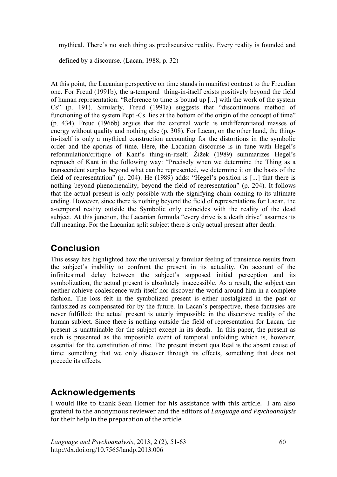mythical. There's no such thing as prediscursive reality. Every reality is founded and

defined by a discourse. (Lacan, 1988, p. 32)

At this point, the Lacanian perspective on time stands in manifest contrast to the Freudian one. For Freud (1991b), the a-temporal thing-in-itself exists positively beyond the field of human representation: "Reference to time is bound up [...] with the work of the system Cs" (p. 191). Similarly, Freud (1991a) suggests that "discontinuous method of functioning of the system Pcpt.-Cs. lies at the bottom of the origin of the concept of time" (p. 434). Freud (1966b) argues that the external world is undifferentiated masses of energy without quality and nothing else (p. 308). For Lacan, on the other hand, the thingin-itself is only a mythical construction accounting for the distortions in the symbolic order and the aporias of time. Here, the Lacanian discourse is in tune with Hegel's reformulation/critique of Kant's thing-in-itself. Žižek (1989) summarizes Hegel's reproach of Kant in the following way: "Precisely when we determine the Thing as a transcendent surplus beyond what can be represented, we determine it on the basis of the field of representation" (p. 204). He (1989) adds: "Hegel's position is [...] that there is nothing beyond phenomenality, beyond the field of representation" (p. 204). It follows that the actual present is only possible with the signifying chain coming to its ultimate ending. However, since there is nothing beyond the field of representations for Lacan, the a-temporal reality outside the Symbolic only coincides with the reality of the dead subject. At this junction, the Lacanian formula "every drive is a death drive" assumes its full meaning. For the Lacanian split subject there is only actual present after death.

### **Conclusion**

This essay has highlighted how the universally familiar feeling of transience results from the subject's inability to confront the present in its actuality. On account of the infinitesimal delay between the subject's supposed initial perception and its symbolization, the actual present is absolutely inaccessible. As a result, the subject can neither achieve coalescence with itself nor discover the world around him in a complete fashion. The loss felt in the symbolized present is either nostalgized in the past or fantasized as compensated for by the future. In Lacan's perspective, these fantasies are never fulfilled: the actual present is utterly impossible in the discursive reality of the human subject. Since there is nothing outside the field of representation for Lacan, the present is unattainable for the subject except in its death. In this paper, the present as such is presented as the impossible event of temporal unfolding which is, however, essential for the constitution of time. The present instant qua Real is the absent cause of time: something that we only discover through its effects, something that does not precede its effects.

## **Acknowledgements**

I would like to thank Sean Homer for his assistance with this article. I am also grateful
to
the
anonymous
reviewer
and
the
editors
of *Language
and
Psychoanalysis* for their help in the preparation of the article.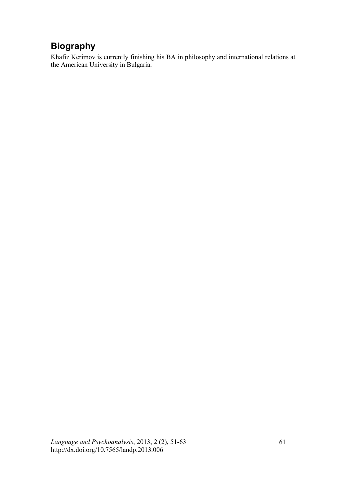# **Biography**

Khafiz Kerimov is currently finishing his BA in philosophy and international relations at the American University in Bulgaria.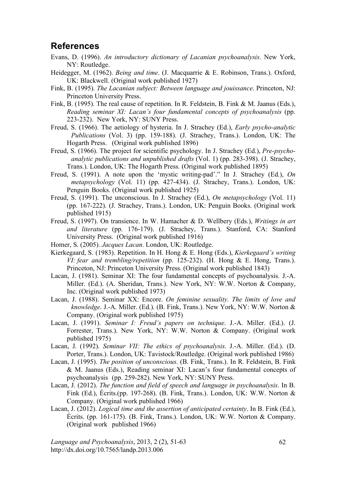### **References**

- Evans, D. (1996). *An introductory dictionary of Lacanian psychoanalysis*. New York, NY: Routledge.
- Heidegger, M. (1962). *Being and time*. (J. Macquarrie & E. Robinson, Trans.). Oxford, UK: Blackwell. (Original work published 1927)
- Fink, B. (1995). *The Lacanian subject: Between language and jouissance*. Princeton, NJ: Princeton University Press.
- Fink, B. (1995). The real cause of repetition. In R. Feldstein, B. Fink & M. Jaanus (Eds.), *Reading seminar XI: Lacan's four fundamental concepts of psychoanalysis* (pp. 223-232). New York, NY: SUNY Press.
- Freud, S. (1966). The aetiology of hysteria. In J. Strachey (Ed.), *Early psycho-analytic Publications* (Vol. 3) (pp. 159-188). (J. Strachey, Trans.). London, UK: The Hogarth Press. (Original work published 1896)
- Freud, S. (1966). The project for scientific psychology. In J. Strachey (Ed.), *Pre-psychoanalytic publications and unpublished drafts* (Vol. 1) (pp. 283-398). (J. Strachey, Trans.). London, UK: The Hogarth Press. (Original work published 1895)
- Freud, S. (1991). A note upon the 'mystic writing-pad'." In J. Strachey (Ed.), *On metapsychology* (Vol. 11) (pp. 427-434). (J. Strachey, Trans.). London, UK: Penguin Books. (Original work published 1925)
- Freud, S. (1991). The unconscious. In J. Strachey (Ed.), *On metapsychology* (Vol. 11) (pp. 167-222). (J. Strachey, Trans.). London, UK: Penguin Books. (Original work published 1915)
- Freud, S. (1997). On transience. In W. Hamacher & D. Wellbery (Eds.), *Writings in art and literature* (pp. 176-179). (J. Strachey, Trans.). Stanford, CA: Stanford University Press. (Original work published 1916)
- Homer, S. (2005). *Jacques Lacan*. London, UK: Routledge.
- Kierkegaard, S. (1983). Repetition. In H. Hong & E. Hong (Eds.), *Kierkegaard's writing VI: fear and trembling/repetition* (pp. 125-232). (H. Hong & E. Hong, Trans.). Princeton, NJ: Princeton University Press. (Original work published 1843)
- Lacan, J. (1981). Seminar XI: The four fundamental concepts of psychoanalysis. J.-A. Miller. (Ed.). (A. Sheridan, Trans.). New York, NY: W.W. Norton & Company, Inc. (Original work published 1973)
- Lacan, J. (1988). Seminar XX: Encore. *On feminine sexuality. The limits of love and knowledge*. J.-A. Miller. (Ed.). (B. Fink, Trans.). New York, NY: W.W. Norton & Company. (Original work published 1975)
- Lacan, J. (1991). *Seminar I: Freud's papers on technique*. J.-A. Miller. (Ed.). (J. Forrester, Trans.). New York, NY: W.W. Norton & Company. (Original work published 1975)
- Lacan, J. (1992). *Seminar VII: The ethics of psychoanalysis*. J.-A. Miller. (Ed.). (D. Porter, Trans.). London, UK: Tavistock/Routledge. (Original work published 1986)
- Lacan, J. (1995). *The position of unconscious*. (B. Fink, Trans.). In R. Feldstein, B. Fink & M. Jaanus (Eds.), Reading seminar XI: Lacan's four fundamental concepts of psychoanalysis (pp. 259-282). New York, NY: SUNY Press.
- Lacan, J. (2012). *The function and field of speech and language in psychoanalysis*. In B. Fink (Ed.), Écrits.(pp. 197-268). (B. Fink, Trans.). London, UK: W.W. Norton & Company. (Original work published 1966)
- Lacan, J. (2012). *Logical time and the assertion of anticipated certainty*. In B. Fink (Ed.), Écrits. (pp. 161-175). (B. Fink, Trans.). London, UK: W.W. Norton & Company. (Original work published 1966)

*Language and Psychoanalysis*, 2013, 2 (2), 51-63 http://dx.doi.org/10.7565/landp.2013.006